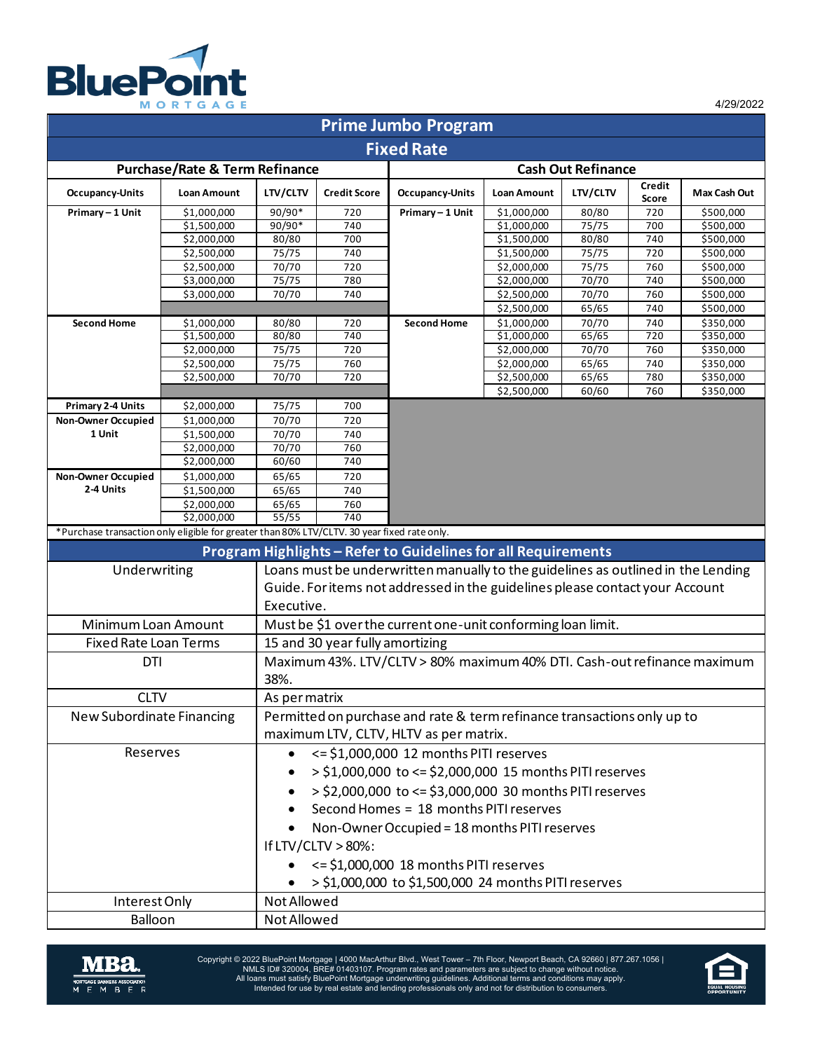

4/29/2022

| <b>Prime Jumbo Program</b>                                                                  |                            |                                                                                  |                     |                           |                            |                |                 |                        |  |  |  |  |  |  |
|---------------------------------------------------------------------------------------------|----------------------------|----------------------------------------------------------------------------------|---------------------|---------------------------|----------------------------|----------------|-----------------|------------------------|--|--|--|--|--|--|
| <b>Fixed Rate</b>                                                                           |                            |                                                                                  |                     |                           |                            |                |                 |                        |  |  |  |  |  |  |
| <b>Purchase/Rate &amp; Term Refinance</b>                                                   |                            |                                                                                  |                     | <b>Cash Out Refinance</b> |                            |                |                 |                        |  |  |  |  |  |  |
| <b>Occupancy-Units</b>                                                                      | <b>Loan Amount</b>         | LTV/CLTV                                                                         | <b>Credit Score</b> | <b>Occupancy-Units</b>    | <b>Loan Amount</b>         | LTV/CLTV       | Credit<br>Score | Max Cash Out           |  |  |  |  |  |  |
| Primary-1 Unit                                                                              | \$1,000,000                | 90/90*                                                                           | 720                 | Primary - 1 Unit          | \$1,000,000                | 80/80          | 720             | \$500,000              |  |  |  |  |  |  |
|                                                                                             | \$1,500,000                | $90/90*$                                                                         | 740                 |                           | \$1,000,000                | 75/75          | 700             | \$500,000              |  |  |  |  |  |  |
|                                                                                             | \$2,000,000                | 80/80                                                                            | 700                 |                           | \$1,500,000                | 80/80          | 740             | \$500,000              |  |  |  |  |  |  |
|                                                                                             | \$2,500,000                | 75/75                                                                            | 740                 |                           | \$1,500,000                | 75/75          | 720             | \$500,000              |  |  |  |  |  |  |
|                                                                                             | \$2,500,000                | 70/70                                                                            | 720                 |                           | \$2,000,000                | 75/75          | 760             | \$500,000              |  |  |  |  |  |  |
|                                                                                             | \$3,000,000                | 75/75                                                                            | 780                 |                           | \$2,000,000                | 70/70          | 740             | \$500,000<br>\$500,000 |  |  |  |  |  |  |
|                                                                                             | \$3,000,000                | 70/70                                                                            | 740                 |                           | \$2,500,000                | 70/70<br>65/65 | 760<br>740      |                        |  |  |  |  |  |  |
| <b>Second Home</b>                                                                          |                            |                                                                                  |                     | <b>Second Home</b>        | \$2,500,000<br>\$1,000,000 | 70/70          | 740             | \$500,000              |  |  |  |  |  |  |
|                                                                                             | \$1,000,000<br>\$1,500,000 | 80/80<br>80/80                                                                   | 720<br>740          |                           | \$1,000,000                | 65/65          | 720             | \$350,000<br>\$350,000 |  |  |  |  |  |  |
|                                                                                             | \$2,000,000                | 75/75                                                                            | 720                 |                           | \$2,000,000                | 70/70          | 760             | \$350,000              |  |  |  |  |  |  |
|                                                                                             | \$2,500,000                | 75/75                                                                            | 760                 |                           | \$2,000,000                | 65/65          | 740             | \$350,000              |  |  |  |  |  |  |
|                                                                                             | \$2,500,000                | 70/70                                                                            | 720                 |                           | \$2,500,000                | 65/65          | 780             | \$350,000              |  |  |  |  |  |  |
|                                                                                             |                            |                                                                                  |                     |                           | \$2,500,000                | 60/60          | 760             | \$350,000              |  |  |  |  |  |  |
| <b>Primary 2-4 Units</b>                                                                    | \$2,000,000                | 75/75                                                                            | 700                 |                           |                            |                |                 |                        |  |  |  |  |  |  |
| Non-Owner Occupied                                                                          | \$1,000,000                | 70/70                                                                            | 720                 |                           |                            |                |                 |                        |  |  |  |  |  |  |
| 1 Unit                                                                                      | \$1,500,000                | 70/70                                                                            | 740                 |                           |                            |                |                 |                        |  |  |  |  |  |  |
|                                                                                             | \$2,000,000                | 70/70                                                                            | 760                 |                           |                            |                |                 |                        |  |  |  |  |  |  |
|                                                                                             | $\overline{$}2,000,000$    | 60/60                                                                            | 740                 |                           |                            |                |                 |                        |  |  |  |  |  |  |
| <b>Non-Owner Occupied</b>                                                                   | \$1,000,000                | 65/65                                                                            | 720                 |                           |                            |                |                 |                        |  |  |  |  |  |  |
| 2-4 Units                                                                                   | \$1,500,000                | 65/65                                                                            | 740                 |                           |                            |                |                 |                        |  |  |  |  |  |  |
|                                                                                             | \$2,000,000                | 65/65                                                                            | 760                 |                           |                            |                |                 |                        |  |  |  |  |  |  |
|                                                                                             | \$2,000,000                | 55/55                                                                            | 740                 |                           |                            |                |                 |                        |  |  |  |  |  |  |
| *Purchase transaction only eligible for greater than 80% LTV/CLTV. 30 year fixed rate only. |                            |                                                                                  |                     |                           |                            |                |                 |                        |  |  |  |  |  |  |
| Program Highlights - Refer to Guidelines for all Requirements                               |                            |                                                                                  |                     |                           |                            |                |                 |                        |  |  |  |  |  |  |
| Underwriting                                                                                |                            | Loans must be underwritten manually to the guidelines as outlined in the Lending |                     |                           |                            |                |                 |                        |  |  |  |  |  |  |
|                                                                                             |                            | Guide. For items not addressed in the guidelines please contact your Account     |                     |                           |                            |                |                 |                        |  |  |  |  |  |  |
|                                                                                             |                            |                                                                                  |                     |                           |                            |                |                 |                        |  |  |  |  |  |  |
|                                                                                             |                            | Executive.                                                                       |                     |                           |                            |                |                 |                        |  |  |  |  |  |  |
| Minimum Loan Amount                                                                         |                            | Must be \$1 over the current one-unit conforming loan limit.                     |                     |                           |                            |                |                 |                        |  |  |  |  |  |  |
| <b>Fixed Rate Loan Terms</b>                                                                |                            | 15 and 30 year fully amortizing                                                  |                     |                           |                            |                |                 |                        |  |  |  |  |  |  |
| DTI                                                                                         |                            | Maximum 43%. LTV/CLTV > 80% maximum 40% DTI. Cash-out refinance maximum          |                     |                           |                            |                |                 |                        |  |  |  |  |  |  |
|                                                                                             |                            | 38%.                                                                             |                     |                           |                            |                |                 |                        |  |  |  |  |  |  |
|                                                                                             |                            |                                                                                  |                     |                           |                            |                |                 |                        |  |  |  |  |  |  |
| <b>CLTV</b>                                                                                 |                            | As per matrix                                                                    |                     |                           |                            |                |                 |                        |  |  |  |  |  |  |
| New Subordinate Financing                                                                   |                            | Permitted on purchase and rate & term refinance transactions only up to          |                     |                           |                            |                |                 |                        |  |  |  |  |  |  |
|                                                                                             |                            | maximum LTV, CLTV, HLTV as per matrix.                                           |                     |                           |                            |                |                 |                        |  |  |  |  |  |  |
| Reserves                                                                                    |                            | <= \$1,000,000 12 months PITI reserves                                           |                     |                           |                            |                |                 |                        |  |  |  |  |  |  |
|                                                                                             |                            |                                                                                  |                     |                           |                            |                |                 |                        |  |  |  |  |  |  |
|                                                                                             |                            | > \$1,000,000 to <= \$2,000,000 15 months PITI reserves                          |                     |                           |                            |                |                 |                        |  |  |  |  |  |  |
|                                                                                             |                            | > \$2,000,000 to <= \$3,000,000 30 months PITI reserves                          |                     |                           |                            |                |                 |                        |  |  |  |  |  |  |
|                                                                                             |                            | Second Homes = 18 months PITI reserves                                           |                     |                           |                            |                |                 |                        |  |  |  |  |  |  |
|                                                                                             |                            |                                                                                  |                     |                           |                            |                |                 |                        |  |  |  |  |  |  |
|                                                                                             |                            | Non-Owner Occupied = 18 months PITI reserves<br>$\bullet$                        |                     |                           |                            |                |                 |                        |  |  |  |  |  |  |
|                                                                                             |                            | If $LTV/CLTV > 80\%$ :                                                           |                     |                           |                            |                |                 |                        |  |  |  |  |  |  |
|                                                                                             |                            | <= \$1,000,000 18 months PITI reserves                                           |                     |                           |                            |                |                 |                        |  |  |  |  |  |  |
|                                                                                             |                            | > \$1,000,000 to \$1,500,000 24 months PITI reserves                             |                     |                           |                            |                |                 |                        |  |  |  |  |  |  |
|                                                                                             |                            |                                                                                  |                     |                           |                            |                |                 |                        |  |  |  |  |  |  |
| Interest Only                                                                               |                            | Not Allowed                                                                      |                     |                           |                            |                |                 |                        |  |  |  |  |  |  |
| Balloon                                                                                     |                            |                                                                                  |                     |                           |                            |                |                 | Not Allowed            |  |  |  |  |  |  |



Copyright © 2022 BluePoint Mortgage | 4000 MacArthur Blvd., West Tower – 7th Floor, Newport Beach, CA 92660 | 877.267.1056 |<br>NMLS ID# 320004, BRE# 01403107. Program rates and parameters are subject to change without notic